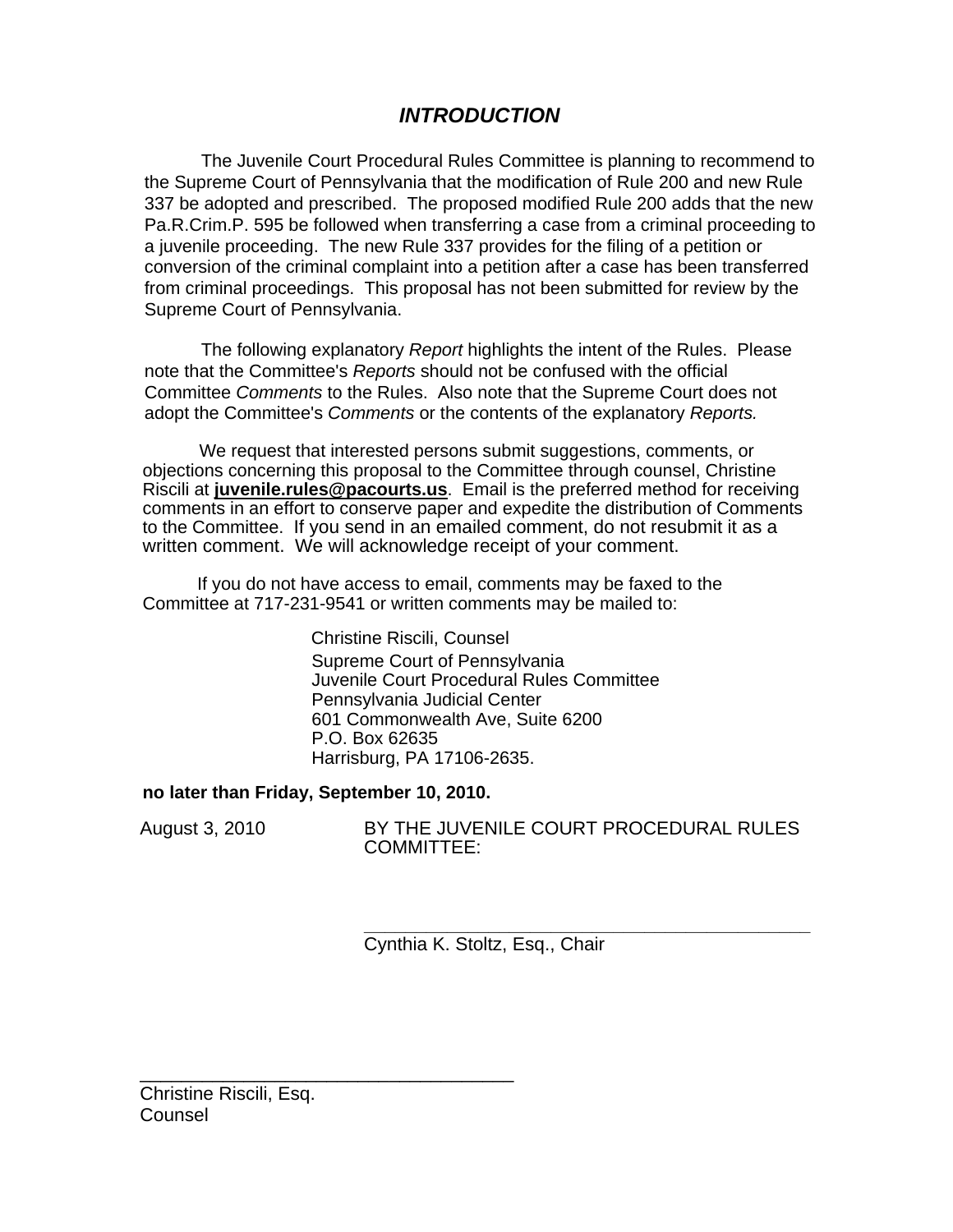# *INTRODUCTION*

The Juvenile Court Procedural Rules Committee is planning to recommend to the Supreme Court of Pennsylvania that the modification of Rule 200 and new Rule 337 be adopted and prescribed. The proposed modified Rule 200 adds that the new Pa.R.Crim.P. 595 be followed when transferring a case from a criminal proceeding to a juvenile proceeding. The new Rule 337 provides for the filing of a petition or conversion of the criminal complaint into a petition after a case has been transferred from criminal proceedings. This proposal has not been submitted for review by the Supreme Court of Pennsylvania.

The following explanatory *Report* highlights the intent of the Rules. Please note that the Committee's *Reports* should not be confused with the official Committee *Comments* to the Rules. Also note that the Supreme Court does not adopt the Committee's *Comments* or the contents of the explanatory *Reports.* 

We request that interested persons submit suggestions, comments, or objections concerning this proposal to the Committee through counsel, Christine Riscili at **juvenile.rules@pacourts.us**. Email is the preferred method for receiving comments in an effort to conserve paper and expedite the distribution of Comments to the Committee. If you send in an emailed comment, do not resubmit it as a written comment. We will acknowledge receipt of your comment.

 If you do not have access to email, comments may be faxed to the Committee at 717-231-9541 or written comments may be mailed to:

> Christine Riscili, Counsel Supreme Court of Pennsylvania Juvenile Court Procedural Rules Committee Pennsylvania Judicial Center 601 Commonwealth Ave, Suite 6200 P.O. Box 62635 Harrisburg, PA 17106-2635.

## **no later than Friday, September 10, 2010.**

\_\_\_\_\_\_\_\_\_\_\_\_\_\_\_\_\_\_\_\_\_\_\_\_\_\_\_\_\_\_\_\_\_\_\_\_

August 3, 2010 BY THE JUVENILE COURT PROCEDURAL RULES COMMITTEE:

> **\_\_\_\_\_\_\_\_\_\_\_\_\_\_\_\_\_\_\_\_\_\_\_\_\_\_\_\_\_\_\_\_\_\_\_\_\_\_\_\_\_\_\_**  Cynthia K. Stoltz, Esq., Chair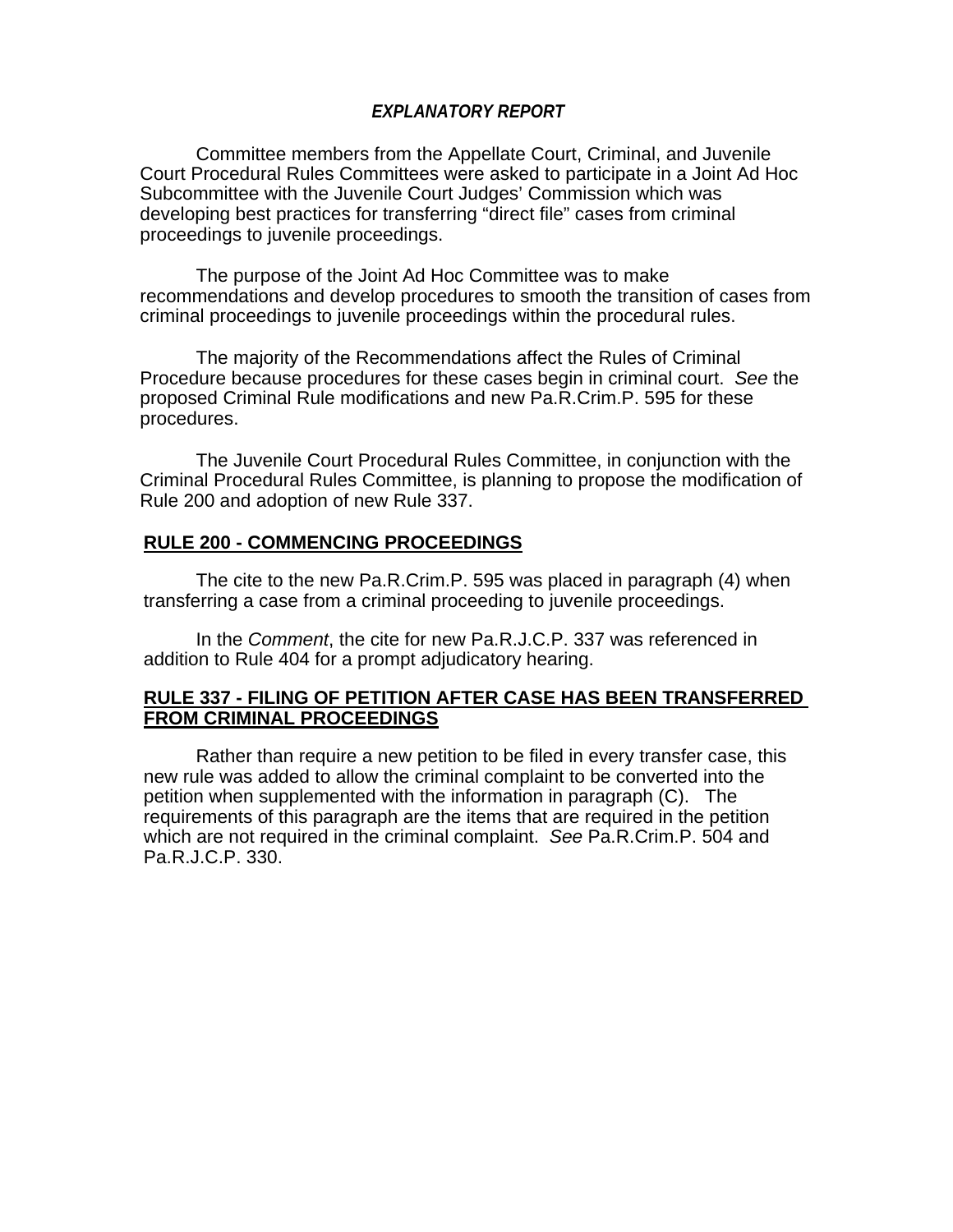### *EXPLANATORY REPORT*

 Committee members from the Appellate Court, Criminal, and Juvenile Court Procedural Rules Committees were asked to participate in a Joint Ad Hoc Subcommittee with the Juvenile Court Judges' Commission which was developing best practices for transferring "direct file" cases from criminal proceedings to juvenile proceedings.

 The purpose of the Joint Ad Hoc Committee was to make recommendations and develop procedures to smooth the transition of cases from criminal proceedings to juvenile proceedings within the procedural rules.

 The majority of the Recommendations affect the Rules of Criminal Procedure because procedures for these cases begin in criminal court. *See* the proposed Criminal Rule modifications and new Pa.R.Crim.P. 595 for these procedures.

The Juvenile Court Procedural Rules Committee, in conjunction with the Criminal Procedural Rules Committee, is planning to propose the modification of Rule 200 and adoption of new Rule 337.

### **RULE 200 - COMMENCING PROCEEDINGS**

 The cite to the new Pa.R.Crim.P. 595 was placed in paragraph (4) when transferring a case from a criminal proceeding to juvenile proceedings.

 In the *Comment*, the cite for new Pa.R.J.C.P. 337 was referenced in addition to Rule 404 for a prompt adjudicatory hearing.

### **RULE 337 - FILING OF PETITION AFTER CASE HAS BEEN TRANSFERRED FROM CRIMINAL PROCEEDINGS**

 Rather than require a new petition to be filed in every transfer case, this new rule was added to allow the criminal complaint to be converted into the petition when supplemented with the information in paragraph (C). The requirements of this paragraph are the items that are required in the petition which are not required in the criminal complaint. *See* Pa.R.Crim.P. 504 and Pa.R.J.C.P. 330.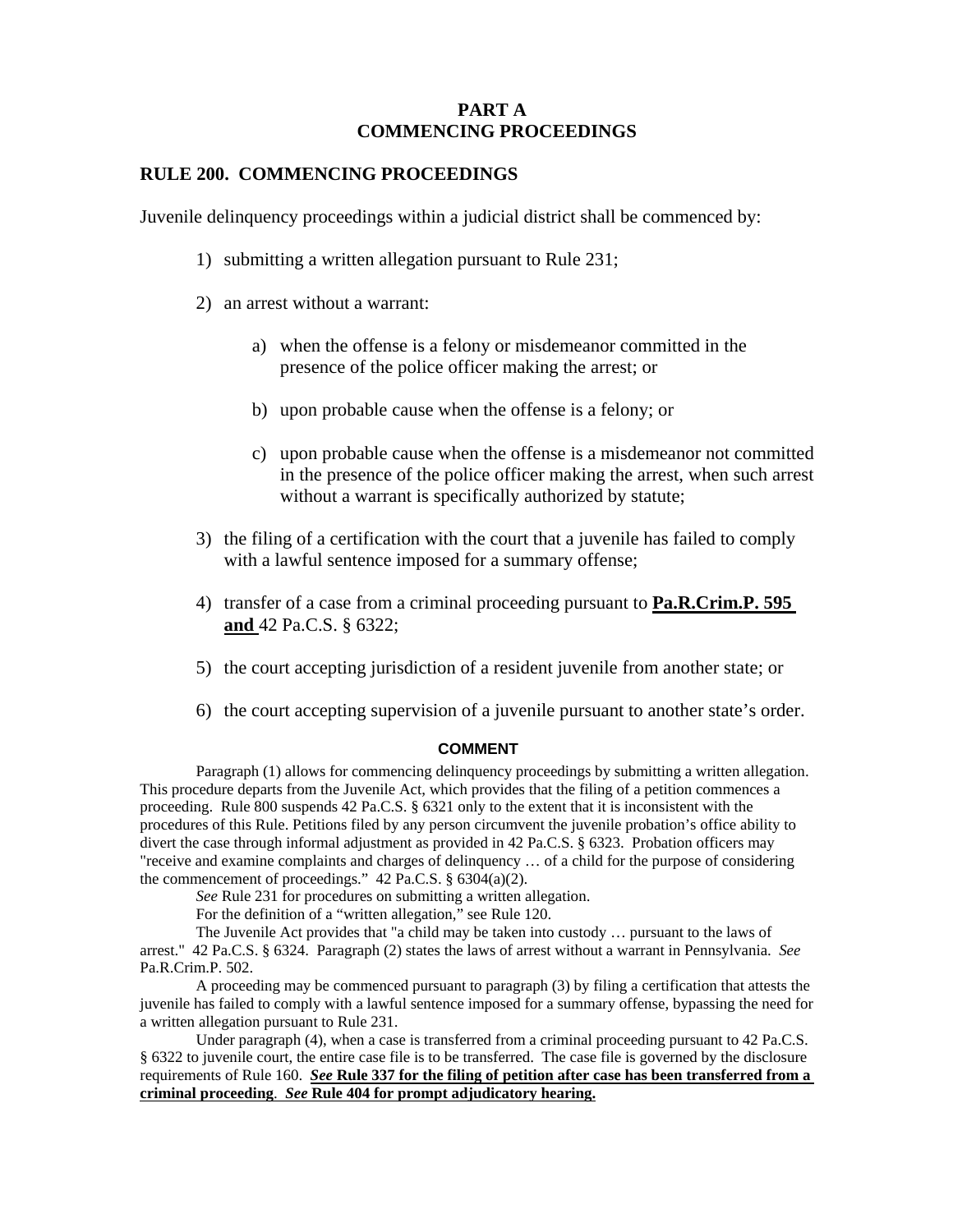### **PART A COMMENCING PROCEEDINGS**

#### **RULE 200. COMMENCING PROCEEDINGS**

Juvenile delinquency proceedings within a judicial district shall be commenced by:

- 1) submitting a written allegation pursuant to Rule 231;
- 2) an arrest without a warrant:
	- a) when the offense is a felony or misdemeanor committed in the presence of the police officer making the arrest; or
	- b) upon probable cause when the offense is a felony; or
	- c) upon probable cause when the offense is a misdemeanor not committed in the presence of the police officer making the arrest, when such arrest without a warrant is specifically authorized by statute;
- 3) the filing of a certification with the court that a juvenile has failed to comply with a lawful sentence imposed for a summary offense;
- 4) transfer of a case from a criminal proceeding pursuant to **Pa.R.Crim.P. 595 and** 42 Pa.C.S. § 6322;
- 5) the court accepting jurisdiction of a resident juvenile from another state; or
- 6) the court accepting supervision of a juvenile pursuant to another state's order.

#### **COMMENT**

Paragraph (1) allows for commencing delinquency proceedings by submitting a written allegation. This procedure departs from the Juvenile Act, which provides that the filing of a petition commences a proceeding. Rule 800 suspends 42 Pa.C.S. § 6321 only to the extent that it is inconsistent with the procedures of this Rule. Petitions filed by any person circumvent the juvenile probation's office ability to divert the case through informal adjustment as provided in 42 Pa.C.S. § 6323. Probation officers may "receive and examine complaints and charges of delinquency … of a child for the purpose of considering the commencement of proceedings." 42 Pa.C.S. § 6304(a)(2).

*See* Rule 231 for procedures on submitting a written allegation.

For the definition of a "written allegation," see Rule 120.

The Juvenile Act provides that "a child may be taken into custody … pursuant to the laws of arrest." 42 Pa.C.S. § 6324. Paragraph (2) states the laws of arrest without a warrant in Pennsylvania. *See* Pa.R.Crim.P. 502.

A proceeding may be commenced pursuant to paragraph (3) by filing a certification that attests the juvenile has failed to comply with a lawful sentence imposed for a summary offense, bypassing the need for a written allegation pursuant to Rule 231.

Under paragraph (4), when a case is transferred from a criminal proceeding pursuant to 42 Pa.C.S. § 6322 to juvenile court, the entire case file is to be transferred. The case file is governed by the disclosure requirements of Rule 160. *See* **Rule 337 for the filing of petition after case has been transferred from a criminal proceeding**. *See* **Rule 404 for prompt adjudicatory hearing.**